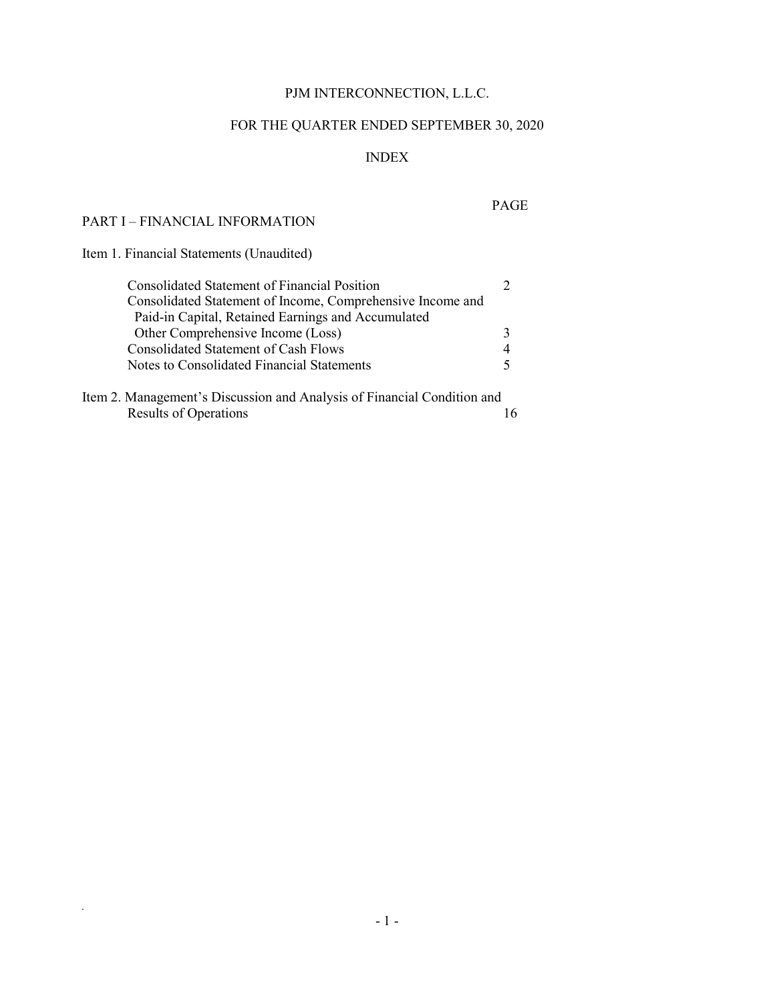## PJM INTERCONNECTION, L.L.C.

# FOR THE QUARTER ENDED SEPTEMBER 30, 2020

### INDEX

#### PART I – FINANCIAL INFORMATION

### PAGE

Item 1. Financial Statements (Unaudited)

| <b>Consolidated Statement of Financial Position</b>                     |  |
|-------------------------------------------------------------------------|--|
| Consolidated Statement of Income, Comprehensive Income and              |  |
| Paid-in Capital, Retained Earnings and Accumulated                      |  |
| Other Comprehensive Income (Loss)                                       |  |
| <b>Consolidated Statement of Cash Flows</b>                             |  |
| Notes to Consolidated Financial Statements                              |  |
| Item 2. Management's Discussion and Analysis of Financial Condition and |  |
| <b>Results of Operations</b>                                            |  |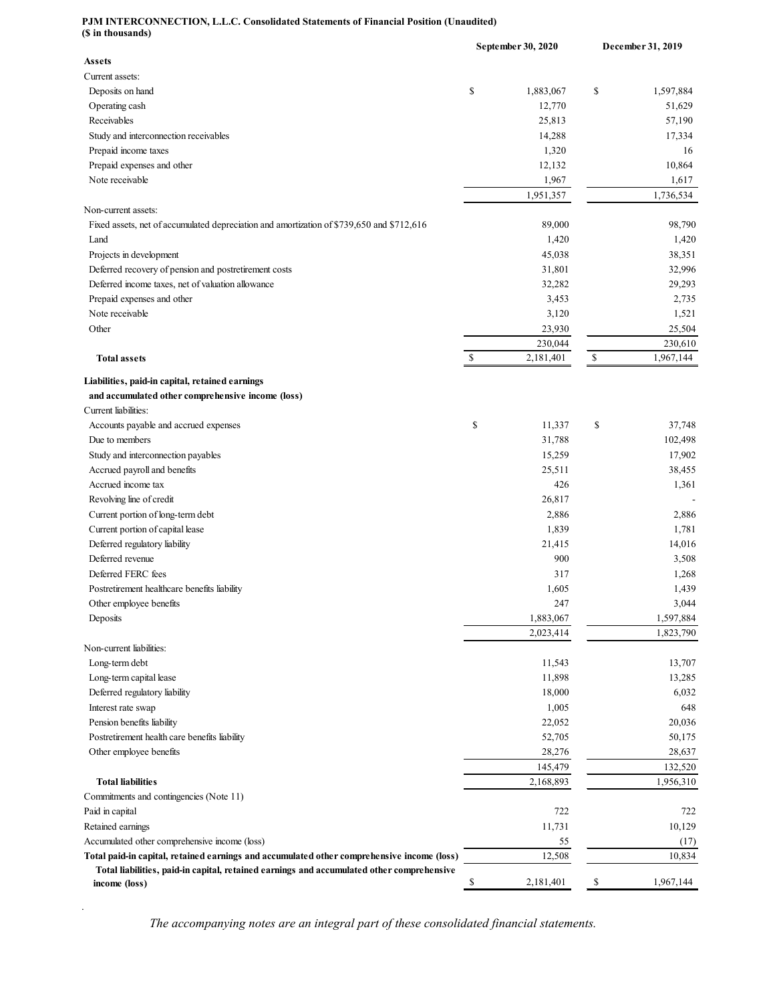#### **PJM INTERCONNECTION, L.L.C. Consolidated Statements of Financial Position (Unaudited) (\$ in thousands)**

| (v in thousanus)                                                                           | September 30, 2020 | December 31, 2019 |           |  |
|--------------------------------------------------------------------------------------------|--------------------|-------------------|-----------|--|
| <b>Assets</b>                                                                              |                    |                   |           |  |
| Current assets:                                                                            |                    |                   |           |  |
| Deposits on hand                                                                           | \$<br>1,883,067    | \$                | 1,597,884 |  |
| Operating cash                                                                             | 12,770             |                   | 51,629    |  |
| Receivables                                                                                | 25,813             |                   | 57,190    |  |
| Study and interconnection receivables                                                      | 14,288             |                   | 17,334    |  |
| Prepaid income taxes                                                                       | 1,320              |                   | 16        |  |
| Prepaid expenses and other                                                                 | 12,132             |                   | 10,864    |  |
| Note receivable                                                                            | 1,967              |                   | 1,617     |  |
|                                                                                            | 1,951,357          |                   | 1,736,534 |  |
| Non-current assets:                                                                        |                    |                   |           |  |
| Fixed assets, net of accumulated depreciation and amortization of \$739,650 and \$712,616  | 89,000             |                   | 98,790    |  |
| Land                                                                                       | 1,420              |                   | 1,420     |  |
| Projects in development                                                                    | 45,038             |                   | 38,351    |  |
| Deferred recovery of pension and postretirement costs                                      | 31,801             |                   | 32,996    |  |
| Deferred income taxes, net of valuation allowance                                          | 32,282             |                   | 29,293    |  |
| Prepaid expenses and other                                                                 | 3,453              |                   | 2,735     |  |
| Note receivable                                                                            | 3,120              |                   | 1,521     |  |
| Other                                                                                      | 23,930             |                   | 25,504    |  |
|                                                                                            | 230,044            |                   | 230,610   |  |
| <b>Total assets</b>                                                                        | \$<br>2,181,401    | $\mathbb{S}$      | 1,967,144 |  |
| Liabilities, paid-in capital, retained earnings                                            |                    |                   |           |  |
| and accumulated other comprehensive income (loss)                                          |                    |                   |           |  |
| Current liabilities:                                                                       |                    |                   |           |  |
| Accounts payable and accrued expenses                                                      | \$<br>11,337       | \$                | 37,748    |  |
| Due to members                                                                             | 31,788             |                   | 102,498   |  |
| Study and interconnection payables                                                         | 15,259             |                   | 17,902    |  |
| Accrued payroll and benefits                                                               | 25,511             |                   | 38,455    |  |
| Accrued income tax                                                                         | 426                |                   | 1,361     |  |
| Revolving line of credit                                                                   | 26,817             |                   |           |  |
|                                                                                            |                    |                   |           |  |
| Current portion of long-term debt                                                          | 2,886              |                   | 2,886     |  |
| Current portion of capital lease                                                           | 1,839              |                   | 1,781     |  |
| Deferred regulatory liability                                                              | 21,415             |                   | 14,016    |  |
| Deferred revenue                                                                           | 900                |                   | 3,508     |  |
| Deferred FERC fees                                                                         | 317                |                   | 1,268     |  |
| Postretirement healthcare benefits liability                                               | 1,605              |                   | 1,439     |  |
| Other employee benefits                                                                    | 247                |                   | 3,044     |  |
| Deposits                                                                                   | 1,883,067          |                   | 1,597,884 |  |
|                                                                                            | 2,023,414          |                   | 1,823,790 |  |
| Non-current liabilities:                                                                   |                    |                   |           |  |
| Long-term debt                                                                             | 11,543             |                   | 13,707    |  |
| Long-term capital lease                                                                    | 11,898             |                   | 13,285    |  |
| Deferred regulatory liability                                                              | 18,000             |                   | 6,032     |  |
| Interest rate swap                                                                         | 1,005              |                   | 648       |  |
| Pension benefits liability                                                                 | 22,052             |                   | 20,036    |  |
| Postretirement health care benefits liability                                              | 52,705             |                   | 50,175    |  |
| Other employee benefits                                                                    | 28,276             |                   | 28,637    |  |
|                                                                                            | 145,479            |                   | 132,520   |  |
| <b>Total liabilities</b>                                                                   | 2,168,893          |                   | 1,956,310 |  |
| Commitments and contingencies (Note 11)                                                    |                    |                   |           |  |
| Paid in capital                                                                            | 722                |                   | 722       |  |
| Retained earnings                                                                          | 11,731             |                   | 10,129    |  |
| Accumulated other comprehensive income (loss)                                              | 55                 |                   | (17)      |  |
| Total paid-in capital, retained earnings and accumulated other comprehensive income (loss) | 12,508             |                   | 10,834    |  |
| Total liabilities, paid-in capital, retained earnings and accumulated other comprehensive  |                    |                   |           |  |
| income (loss)                                                                              | \$<br>2,181,401    | \$                | 1,967,144 |  |

The accompanying notes are an integral part of these consolidated financial statements.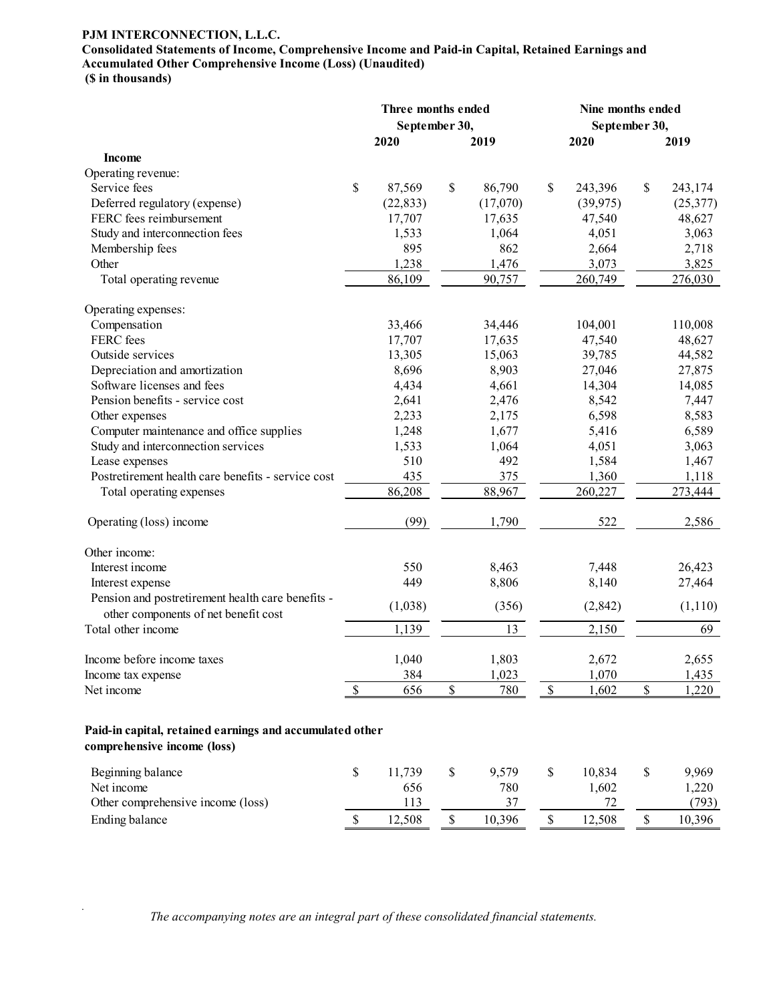#### **PJM INTERCONNECTION, L.L.C.**

## **Consolidated Statements of Income, Comprehensive Income and Paid-in Capital, Retained Earnings and Accumulated Other Comprehensive Income (Loss) (Unaudited)**

**(\$ in thousands)**

*.*

|                                                                                           |      | Three months ended<br>September 30, |             |          |             | Nine months ended<br>September 30, |             |          |
|-------------------------------------------------------------------------------------------|------|-------------------------------------|-------------|----------|-------------|------------------------------------|-------------|----------|
|                                                                                           |      | 2020                                |             | 2019     |             | 2020                               |             | 2019     |
| Income                                                                                    |      |                                     |             |          |             |                                    |             |          |
| Operating revenue:                                                                        |      |                                     |             |          |             |                                    |             |          |
| Service fees                                                                              | \$   | 87,569                              | \$          | 86,790   | \$          | 243,396                            | \$          | 243,174  |
| Deferred regulatory (expense)                                                             |      | (22, 833)                           |             | (17,070) |             | (39, 975)                          |             | (25,377) |
| FERC fees reimbursement                                                                   |      | 17,707                              |             | 17,635   |             | 47,540                             |             | 48,627   |
| Study and interconnection fees                                                            |      | 1,533                               |             | 1,064    |             | 4,051                              |             | 3,063    |
| Membership fees                                                                           |      | 895                                 |             | 862      |             | 2,664                              |             | 2,718    |
| Other                                                                                     |      | 1,238                               |             | 1,476    |             | 3,073                              |             | 3,825    |
| Total operating revenue                                                                   |      | 86,109                              |             | 90,757   |             | 260,749                            |             | 276,030  |
| Operating expenses:                                                                       |      |                                     |             |          |             |                                    |             |          |
| Compensation                                                                              |      | 33,466                              |             | 34,446   |             | 104,001                            |             | 110,008  |
| FERC fees                                                                                 |      | 17,707                              |             | 17,635   |             | 47,540                             |             | 48,627   |
| Outside services                                                                          |      | 13,305                              |             | 15,063   |             | 39,785                             |             | 44,582   |
| Depreciation and amortization                                                             |      | 8,696                               |             | 8,903    |             | 27,046                             |             | 27,875   |
| Software licenses and fees                                                                |      | 4,434                               |             | 4,661    |             | 14,304                             |             | 14,085   |
| Pension benefits - service cost                                                           |      | 2,641                               |             | 2,476    |             | 8,542                              |             | 7,447    |
| Other expenses                                                                            |      | 2,233                               |             | 2,175    |             | 6,598                              |             | 8,583    |
| Computer maintenance and office supplies                                                  |      | 1,248                               |             | 1,677    |             | 5,416                              |             | 6,589    |
| Study and interconnection services                                                        |      | 1,533                               |             | 1,064    |             | 4,051                              |             | 3,063    |
| Lease expenses                                                                            |      | 510                                 |             | 492      |             | 1,584                              |             | 1,467    |
| Postretirement health care benefits - service cost                                        |      | 435                                 |             | 375      |             | 1,360                              |             | 1,118    |
| Total operating expenses                                                                  |      | 86,208                              |             | 88,967   |             | 260,227                            |             | 273,444  |
| Operating (loss) income                                                                   |      | (99)                                |             | 1,790    |             | 522                                |             | 2,586    |
| Other income:                                                                             |      |                                     |             |          |             |                                    |             |          |
| Interest income                                                                           |      | 550                                 |             | 8,463    |             | 7,448                              |             | 26,423   |
| Interest expense                                                                          |      | 449                                 |             | 8,806    |             | 8,140                              |             | 27,464   |
| Pension and postretirement health care benefits -<br>other components of net benefit cost |      | (1,038)                             |             | (356)    |             | (2,842)                            |             | (1,110)  |
| Total other income                                                                        |      | 1,139                               |             | 13       |             | 2,150                              |             | 69       |
| Income before income taxes                                                                |      | 1,040                               |             | 1,803    |             | 2,672                              |             | 2,655    |
| Income tax expense                                                                        |      | 384                                 |             | 1,023    |             | 1,070                              |             | 1,435    |
| Net income                                                                                | \$   | 656                                 | \$          | 780      | $\mathbb S$ | 1,602                              | $\$$        | 1,220    |
| Paid-in capital, retained earnings and accumulated other<br>comprehensive income (loss)   |      |                                     |             |          |             |                                    |             |          |
| Beginning balance                                                                         | $\$$ | 11,739                              | $\mathbb S$ | 9,579    | \$          | 10,834                             | \$          | 9,969    |
| Net income                                                                                |      | 656                                 |             | 780      |             | 1,602                              |             | 1,220    |
| Other comprehensive income (loss)                                                         |      | 113                                 |             | 37       |             | 72                                 |             | (793)    |
| Ending balance                                                                            | \$   | 12,508                              | \$          | 10,396   | $\mathbb S$ | 12,508                             | $\mathbb S$ | 10,396   |

The accompanying notes are an integral part of these consolidated financial statements.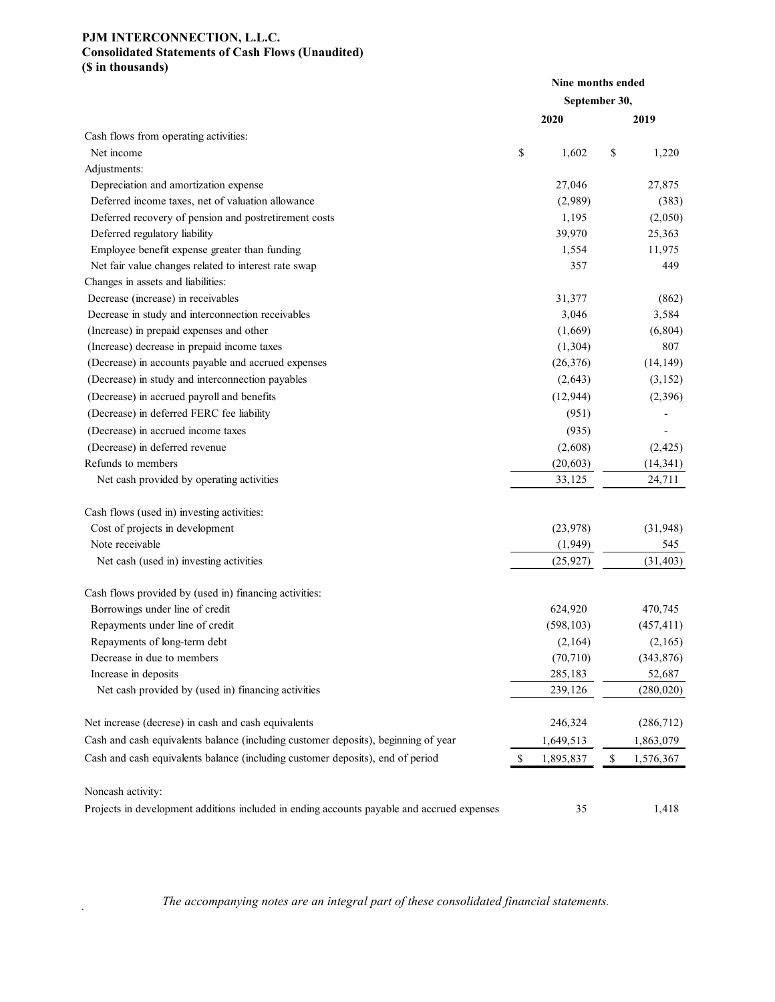#### **PJM INTERCONNECTION, L.L.C. Consolidated Statements of Cash Flows (Unaudited) (\$ in thousands)**

|                                                                                            | Nine months ended |                 |
|--------------------------------------------------------------------------------------------|-------------------|-----------------|
|                                                                                            | September 30,     |                 |
|                                                                                            | 2020              | 2019            |
| Cash flows from operating activities:                                                      |                   |                 |
| Net income                                                                                 | \$<br>1,602       | \$<br>1,220     |
| Adjustments:                                                                               |                   |                 |
| Depreciation and amortization expense                                                      | 27,046            | 27,875          |
| Deferred income taxes, net of valuation allowance                                          | (2,989)           | (383)           |
| Deferred recovery of pension and postretirement costs                                      | 1,195             | (2,050)         |
| Deferred regulatory liability                                                              | 39,970            | 25,363          |
| Employee benefit expense greater than funding                                              | 1,554             | 11,975          |
| Net fair value changes related to interest rate swap                                       | 357               | 449             |
| Changes in assets and liabilities:                                                         |                   |                 |
| Decrease (increase) in receivables                                                         | 31,377            | (862)           |
| Decrease in study and interconnection receivables                                          | 3,046             | 3,584           |
| (Increase) in prepaid expenses and other                                                   | (1,669)           | (6, 804)        |
| (Increase) decrease in prepaid income taxes                                                | (1,304)           | 807             |
| (Decrease) in accounts payable and accrued expenses                                        | (26, 376)         | (14, 149)       |
| (Decrease) in study and interconnection payables                                           | (2,643)           | (3, 152)        |
| (Decrease) in accrued payroll and benefits                                                 | (12, 944)         | (2,396)         |
| (Decrease) in deferred FERC fee liability                                                  | (951)             |                 |
| (Decrease) in accrued income taxes                                                         | (935)             |                 |
| (Decrease) in deferred revenue                                                             | (2,608)           | (2, 425)        |
| Refunds to members                                                                         | (20, 603)         | (14, 341)       |
| Net cash provided by operating activities                                                  | 33,125            | 24,711          |
| Cash flows (used in) investing activities:                                                 |                   |                 |
| Cost of projects in development                                                            | (23,978)          | (31, 948)       |
| Note receivable                                                                            | (1,949)           | 545             |
| Net cash (used in) investing activities                                                    | (25, 927)         | (31, 403)       |
| Cash flows provided by (used in) financing activities:                                     |                   |                 |
| Borrowings under line of credit                                                            | 624,920           | 470,745         |
| Repayments under line of credit                                                            | (598, 103)        | (457, 411)      |
| Repayments of long-term debt                                                               | (2,164)           | (2,165)         |
| Decrease in due to members                                                                 | (70, 710)         | (343, 876)      |
| Increase in deposits                                                                       | 285,183           | 52,687          |
| Net cash provided by (used in) financing activities                                        | 239,126           | (280, 020)      |
| Net increase (decrese) in cash and cash equivalents                                        | 246,324           | (286, 712)      |
| Cash and cash equivalents balance (including customer deposits), beginning of year         | 1,649,513         | 1,863,079       |
| Cash and cash equivalents balance (including customer deposits), end of period             | \$<br>1,895,837   | \$<br>1,576,367 |
| Noncash activity:                                                                          |                   |                 |
| Projects in development additions included in ending accounts payable and accrued expenses | 35                | 1,418           |

*The accompanying notes are an integral part of these consolidated financial statements.*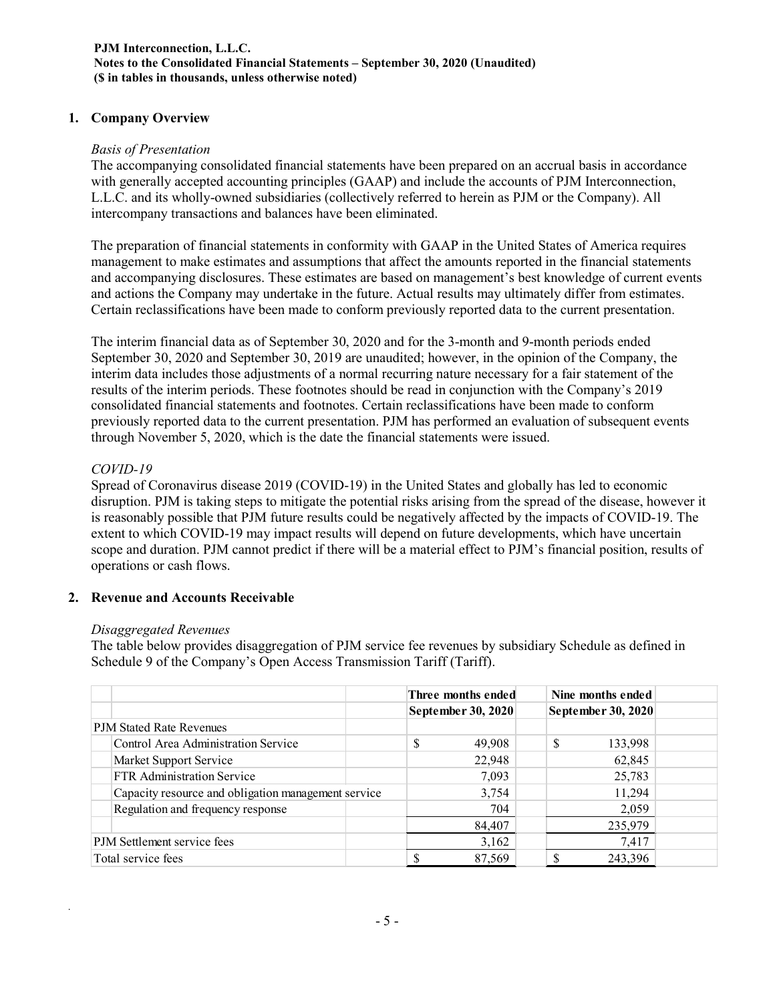#### **PJM Interconnection, L.L.C. Notes to the Consolidated Financial Statements – September 30, 2020 (Unaudited) (\$ in tables in thousands, unless otherwise noted)**

#### **1. Company Overview**

#### *Basis of Presentation*

The accompanying consolidated financial statements have been prepared on an accrual basis in accordance with generally accepted accounting principles (GAAP) and include the accounts of PJM Interconnection, L.L.C. and its wholly-owned subsidiaries (collectively referred to herein as PJM or the Company). All intercompany transactions and balances have been eliminated.

The preparation of financial statements in conformity with GAAP in the United States of America requires management to make estimates and assumptions that affect the amounts reported in the financial statements and accompanying disclosures. These estimates are based on management's best knowledge of current events and actions the Company may undertake in the future. Actual results may ultimately differ from estimates. Certain reclassifications have been made to conform previously reported data to the current presentation.

The interim financial data as of September 30, 2020 and for the 3-month and 9-month periods ended September 30, 2020 and September 30, 2019 are unaudited; however, in the opinion of the Company, the interim data includes those adjustments of a normal recurring nature necessary for a fair statement of the results of the interim periods. These footnotes should be read in conjunction with the Company's 2019 consolidated financial statements and footnotes. Certain reclassifications have been made to conform previously reported data to the current presentation. PJM has performed an evaluation of subsequent events through November 5, 2020, which is the date the financial statements were issued.

#### *COVID-19*

*.*

Spread of Coronavirus disease 2019 (COVID-19) in the United States and globally has led to economic disruption. PJM is taking steps to mitigate the potential risks arising from the spread of the disease, however it is reasonably possible that PJM future results could be negatively affected by the impacts of COVID-19. The extent to which COVID-19 may impact results will depend on future developments, which have uncertain scope and duration. PJM cannot predict if there will be a material effect to PJM's financial position, results of operations or cash flows.

#### **2. Revenue and Accounts Receivable**

#### *Disaggregated Revenues*

The table below provides disaggregation of PJM service fee revenues by subsidiary Schedule as defined in Schedule 9 of the Company's Open Access Transmission Tariff (Tariff).

|                                                     | Three months ended | Nine months ended         |
|-----------------------------------------------------|--------------------|---------------------------|
|                                                     | September 30, 2020 | <b>September 30, 2020</b> |
| PJM Stated Rate Revenues                            |                    |                           |
| Control Area Administration Service                 | \$<br>49,908       | 133,998                   |
| Market Support Service                              | 22,948             | 62,845                    |
| <b>FTR Administration Service</b>                   | 7,093              | 25,783                    |
| Capacity resource and obligation management service | 3,754              | 11,294                    |
| Regulation and frequency response                   | 704                | 2,059                     |
|                                                     | 84,407             | 235,979                   |
| PJM Settlement service fees                         | 3,162              | 7,417                     |
| Total service fees                                  | 87,569             | 243,396                   |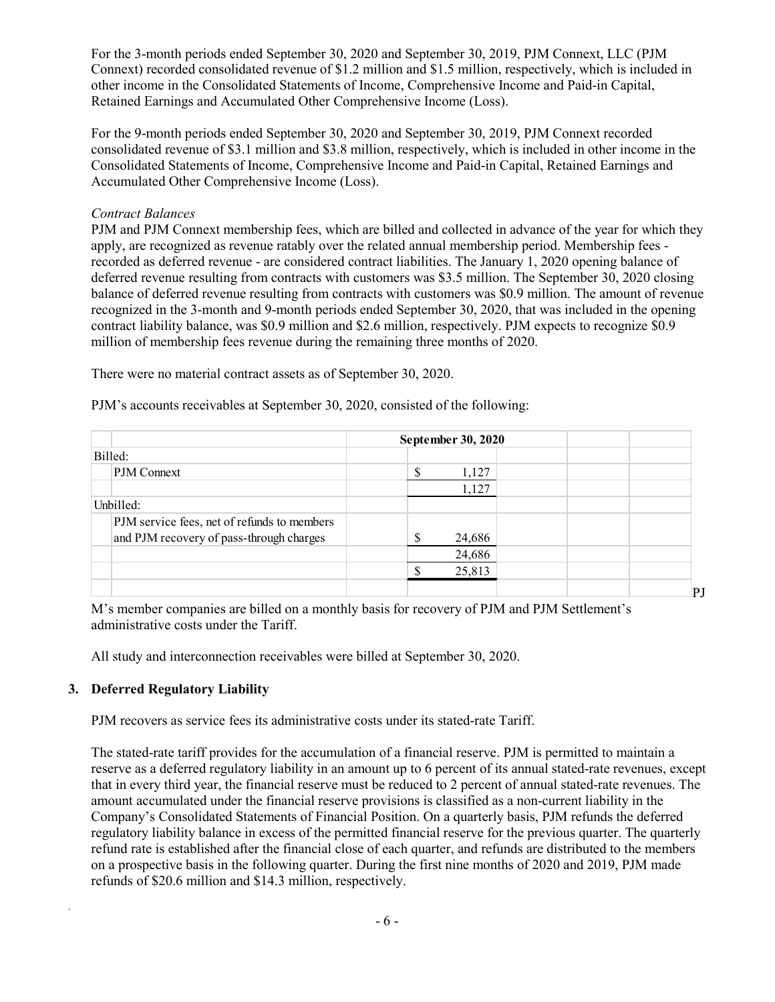For the 3-month periods ended September 30, 2020 and September 30, 2019, PJM Connext, LLC (PJM Connext) recorded consolidated revenue of \$1.2 million and \$1.5 million, respectively, which is included in other income in the Consolidated Statements of Income, Comprehensive Income and Paid-in Capital, Retained Earnings and Accumulated Other Comprehensive Income (Loss).

For the 9-month periods ended September 30, 2020 and September 30, 2019, PJM Connext recorded consolidated revenue of \$3.1 million and \$3.8 million, respectively, which is included in other income in the Consolidated Statements of Income, Comprehensive Income and Paid-in Capital, Retained Earnings and Accumulated Other Comprehensive Income (Loss).

#### *Contract Balances*

PJM and PJM Connext membership fees, which are billed and collected in advance of the year for which they apply, are recognized as revenue ratably over the related annual membership period. Membership fees recorded as deferred revenue - are considered contract liabilities. The January 1, 2020 opening balance of deferred revenue resulting from contracts with customers was \$3.5 million. The September 30, 2020 closing balance of deferred revenue resulting from contracts with customers was \$0.9 million. The amount of revenue recognized in the 3-month and 9-month periods ended September 30, 2020, that was included in the opening contract liability balance, was \$0.9 million and \$2.6 million, respectively. PJM expects to recognize \$0.9 million of membership fees revenue during the remaining three months of 2020.

There were no material contract assets as of September 30, 2020.

PJM's accounts receivables at September 30, 2020, consisted of the following:

|                                             | September 30, 2020 |    |
|---------------------------------------------|--------------------|----|
| Billed:                                     |                    |    |
| PJM Connext                                 | 1,127              |    |
|                                             | 1,127              |    |
| Unbilled:                                   |                    |    |
| PJM service fees, net of refunds to members |                    |    |
| and PJM recovery of pass-through charges    | c<br>24,686        |    |
|                                             | 24,686             |    |
|                                             | 25,813             |    |
|                                             |                    | P. |

M's member companies are billed on a monthly basis for recovery of PJM and PJM Settlement's administrative costs under the Tariff.

All study and interconnection receivables were billed at September 30, 2020.

#### **3. Deferred Regulatory Liability**

*.*

PJM recovers as service fees its administrative costs under its stated-rate Tariff.

The stated-rate tariff provides for the accumulation of a financial reserve. PJM is permitted to maintain a reserve as a deferred regulatory liability in an amount up to 6 percent of its annual stated-rate revenues, except that in every third year, the financial reserve must be reduced to 2 percent of annual stated-rate revenues. The amount accumulated under the financial reserve provisions is classified as a non-current liability in the Company's Consolidated Statements of Financial Position. On a quarterly basis, PJM refunds the deferred regulatory liability balance in excess of the permitted financial reserve for the previous quarter. The quarterly refund rate is established after the financial close of each quarter, and refunds are distributed to the members on a prospective basis in the following quarter. During the first nine months of 2020 and 2019, PJM made refunds of \$20.6 million and \$14.3 million, respectively.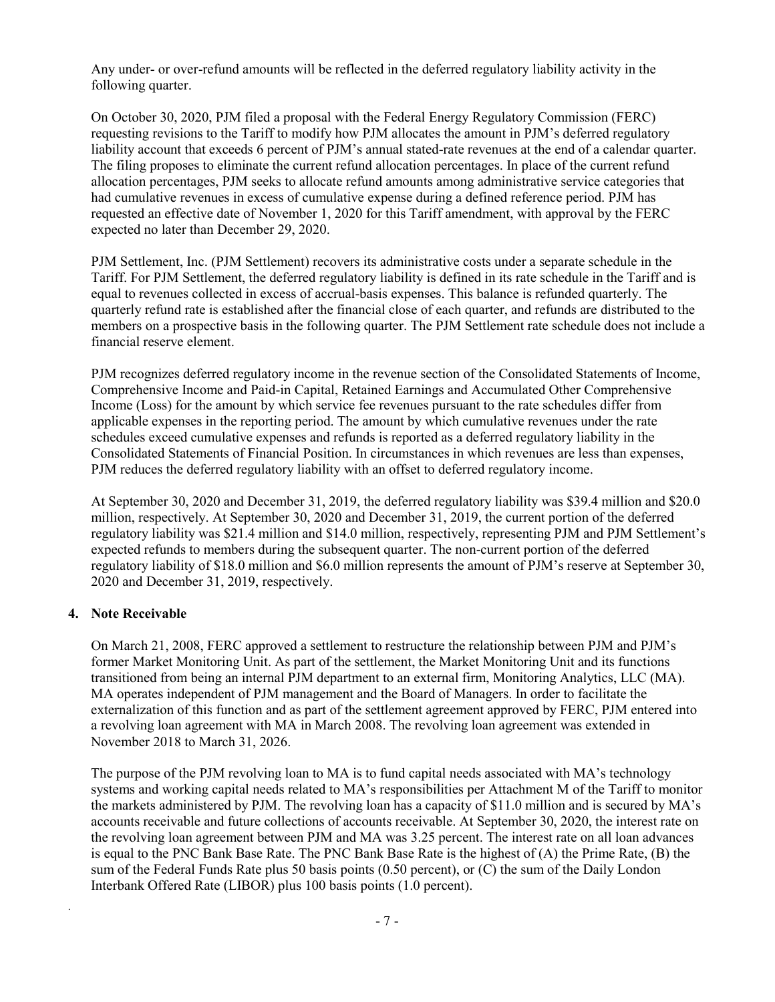Any under- or over-refund amounts will be reflected in the deferred regulatory liability activity in the following quarter.

On October 30, 2020, PJM filed a proposal with the Federal Energy Regulatory Commission (FERC) requesting revisions to the Tariff to modify how PJM allocates the amount in PJM's deferred regulatory liability account that exceeds 6 percent of PJM's annual stated-rate revenues at the end of a calendar quarter. The filing proposes to eliminate the current refund allocation percentages. In place of the current refund allocation percentages, PJM seeks to allocate refund amounts among administrative service categories that had cumulative revenues in excess of cumulative expense during a defined reference period. PJM has requested an effective date of November 1, 2020 for this Tariff amendment, with approval by the FERC expected no later than December 29, 2020.

PJM Settlement, Inc. (PJM Settlement) recovers its administrative costs under a separate schedule in the Tariff. For PJM Settlement, the deferred regulatory liability is defined in its rate schedule in the Tariff and is equal to revenues collected in excess of accrual-basis expenses. This balance is refunded quarterly. The quarterly refund rate is established after the financial close of each quarter, and refunds are distributed to the members on a prospective basis in the following quarter. The PJM Settlement rate schedule does not include a financial reserve element.

PJM recognizes deferred regulatory income in the revenue section of the Consolidated Statements of Income, Comprehensive Income and Paid-in Capital, Retained Earnings and Accumulated Other Comprehensive Income (Loss) for the amount by which service fee revenues pursuant to the rate schedules differ from applicable expenses in the reporting period. The amount by which cumulative revenues under the rate schedules exceed cumulative expenses and refunds is reported as a deferred regulatory liability in the Consolidated Statements of Financial Position. In circumstances in which revenues are less than expenses, PJM reduces the deferred regulatory liability with an offset to deferred regulatory income.

At September 30, 2020 and December 31, 2019, the deferred regulatory liability was \$39.4 million and \$20.0 million, respectively. At September 30, 2020 and December 31, 2019, the current portion of the deferred regulatory liability was \$21.4 million and \$14.0 million, respectively, representing PJM and PJM Settlement's expected refunds to members during the subsequent quarter. The non-current portion of the deferred regulatory liability of \$18.0 million and \$6.0 million represents the amount of PJM's reserve at September 30, 2020 and December 31, 2019, respectively.

#### **4. Note Receivable**

*.*

On March 21, 2008, FERC approved a settlement to restructure the relationship between PJM and PJM's former Market Monitoring Unit. As part of the settlement, the Market Monitoring Unit and its functions transitioned from being an internal PJM department to an external firm, Monitoring Analytics, LLC (MA). MA operates independent of PJM management and the Board of Managers. In order to facilitate the externalization of this function and as part of the settlement agreement approved by FERC, PJM entered into a revolving loan agreement with MA in March 2008. The revolving loan agreement was extended in November 2018 to March 31, 2026.

The purpose of the PJM revolving loan to MA is to fund capital needs associated with MA's technology systems and working capital needs related to MA's responsibilities per Attachment M of the Tariff to monitor the markets administered by PJM. The revolving loan has a capacity of \$11.0 million and is secured by MA's accounts receivable and future collections of accounts receivable. At September 30, 2020, the interest rate on the revolving loan agreement between PJM and MA was 3.25 percent. The interest rate on all loan advances is equal to the PNC Bank Base Rate. The PNC Bank Base Rate is the highest of (A) the Prime Rate, (B) the sum of the Federal Funds Rate plus 50 basis points (0.50 percent), or (C) the sum of the Daily London Interbank Offered Rate (LIBOR) plus 100 basis points (1.0 percent).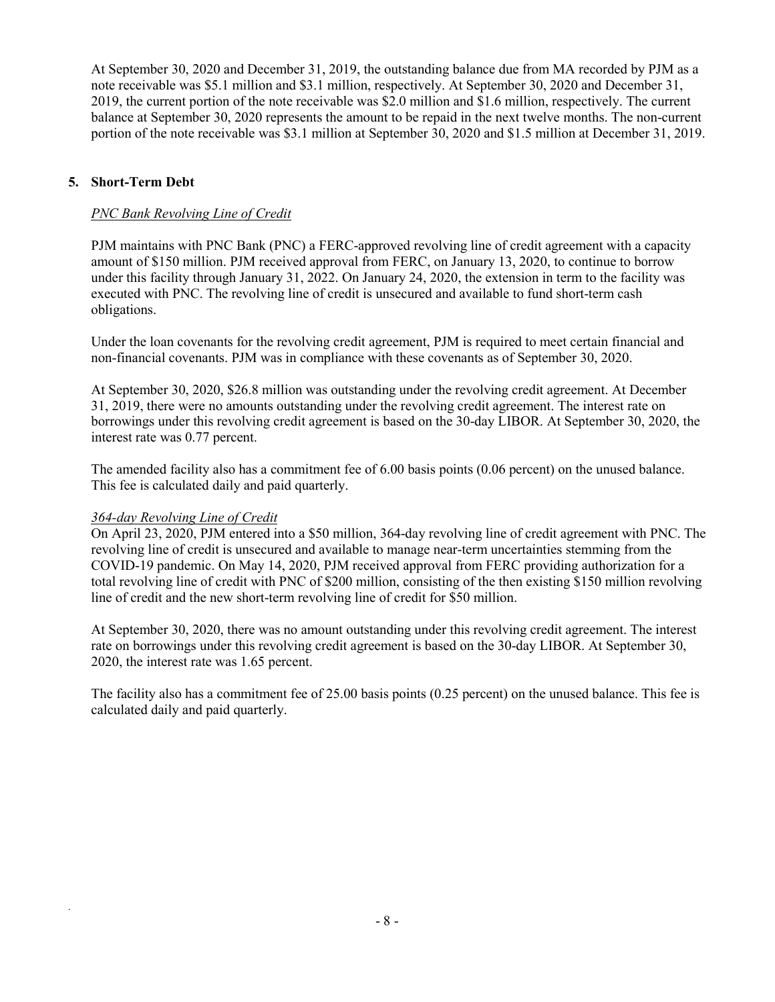At September 30, 2020 and December 31, 2019, the outstanding balance due from MA recorded by PJM as a note receivable was \$5.1 million and \$3.1 million, respectively. At September 30, 2020 and December 31, 2019, the current portion of the note receivable was \$2.0 million and \$1.6 million, respectively. The current balance at September 30, 2020 represents the amount to be repaid in the next twelve months. The non-current portion of the note receivable was \$3.1 million at September 30, 2020 and \$1.5 million at December 31, 2019.

### **5. Short-Term Debt**

#### *PNC Bank Revolving Line of Credit*

PJM maintains with PNC Bank (PNC) a FERC-approved revolving line of credit agreement with a capacity amount of \$150 million. PJM received approval from FERC, on January 13, 2020, to continue to borrow under this facility through January 31, 2022. On January 24, 2020, the extension in term to the facility was executed with PNC. The revolving line of credit is unsecured and available to fund short-term cash obligations.

Under the loan covenants for the revolving credit agreement, PJM is required to meet certain financial and non-financial covenants. PJM was in compliance with these covenants as of September 30, 2020.

At September 30, 2020, \$26.8 million was outstanding under the revolving credit agreement. At December 31, 2019, there were no amounts outstanding under the revolving credit agreement. The interest rate on borrowings under this revolving credit agreement is based on the 30-day LIBOR. At September 30, 2020, the interest rate was 0.77 percent.

The amended facility also has a commitment fee of 6.00 basis points (0.06 percent) on the unused balance. This fee is calculated daily and paid quarterly.

#### *364-day Revolving Line of Credit*

*.*

On April 23, 2020, PJM entered into a \$50 million, 364-day revolving line of credit agreement with PNC. The revolving line of credit is unsecured and available to manage near-term uncertainties stemming from the COVID-19 pandemic. On May 14, 2020, PJM received approval from FERC providing authorization for a total revolving line of credit with PNC of \$200 million, consisting of the then existing \$150 million revolving line of credit and the new short-term revolving line of credit for \$50 million.

At September 30, 2020, there was no amount outstanding under this revolving credit agreement. The interest rate on borrowings under this revolving credit agreement is based on the 30-day LIBOR. At September 30, 2020, the interest rate was 1.65 percent.

The facility also has a commitment fee of 25.00 basis points (0.25 percent) on the unused balance. This fee is calculated daily and paid quarterly.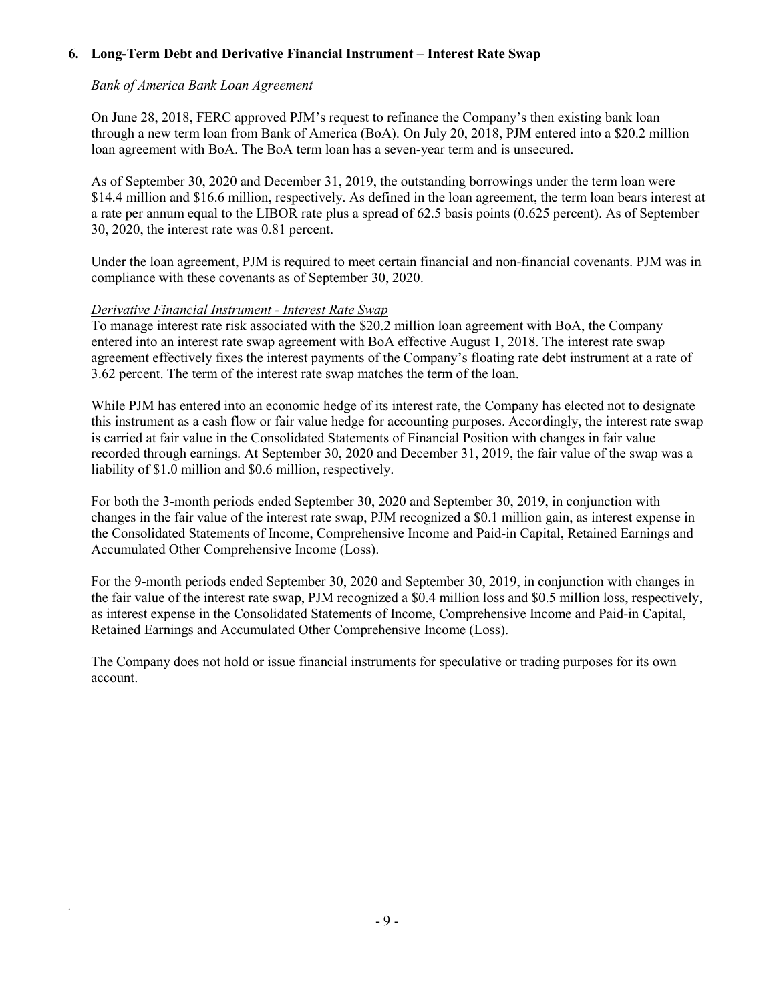### **6. Long-Term Debt and Derivative Financial Instrument – Interest Rate Swap**

### *Bank of America Bank Loan Agreement*

On June 28, 2018, FERC approved PJM's request to refinance the Company's then existing bank loan through a new term loan from Bank of America (BoA). On July 20, 2018, PJM entered into a \$20.2 million loan agreement with BoA. The BoA term loan has a seven-year term and is unsecured.

As of September 30, 2020 and December 31, 2019, the outstanding borrowings under the term loan were \$14.4 million and \$16.6 million, respectively. As defined in the loan agreement, the term loan bears interest at a rate per annum equal to the LIBOR rate plus a spread of 62.5 basis points (0.625 percent). As of September 30, 2020, the interest rate was 0.81 percent.

Under the loan agreement, PJM is required to meet certain financial and non-financial covenants. PJM was in compliance with these covenants as of September 30, 2020.

#### *Derivative Financial Instrument - Interest Rate Swap*

*.*

To manage interest rate risk associated with the \$20.2 million loan agreement with BoA, the Company entered into an interest rate swap agreement with BoA effective August 1, 2018. The interest rate swap agreement effectively fixes the interest payments of the Company's floating rate debt instrument at a rate of 3.62 percent. The term of the interest rate swap matches the term of the loan.

While PJM has entered into an economic hedge of its interest rate, the Company has elected not to designate this instrument as a cash flow or fair value hedge for accounting purposes. Accordingly, the interest rate swap is carried at fair value in the Consolidated Statements of Financial Position with changes in fair value recorded through earnings. At September 30, 2020 and December 31, 2019, the fair value of the swap was a liability of \$1.0 million and \$0.6 million, respectively.

For both the 3-month periods ended September 30, 2020 and September 30, 2019, in conjunction with changes in the fair value of the interest rate swap, PJM recognized a \$0.1 million gain, as interest expense in the Consolidated Statements of Income, Comprehensive Income and Paid-in Capital, Retained Earnings and Accumulated Other Comprehensive Income (Loss).

For the 9-month periods ended September 30, 2020 and September 30, 2019, in conjunction with changes in the fair value of the interest rate swap, PJM recognized a \$0.4 million loss and \$0.5 million loss, respectively, as interest expense in the Consolidated Statements of Income, Comprehensive Income and Paid-in Capital, Retained Earnings and Accumulated Other Comprehensive Income (Loss).

The Company does not hold or issue financial instruments for speculative or trading purposes for its own account.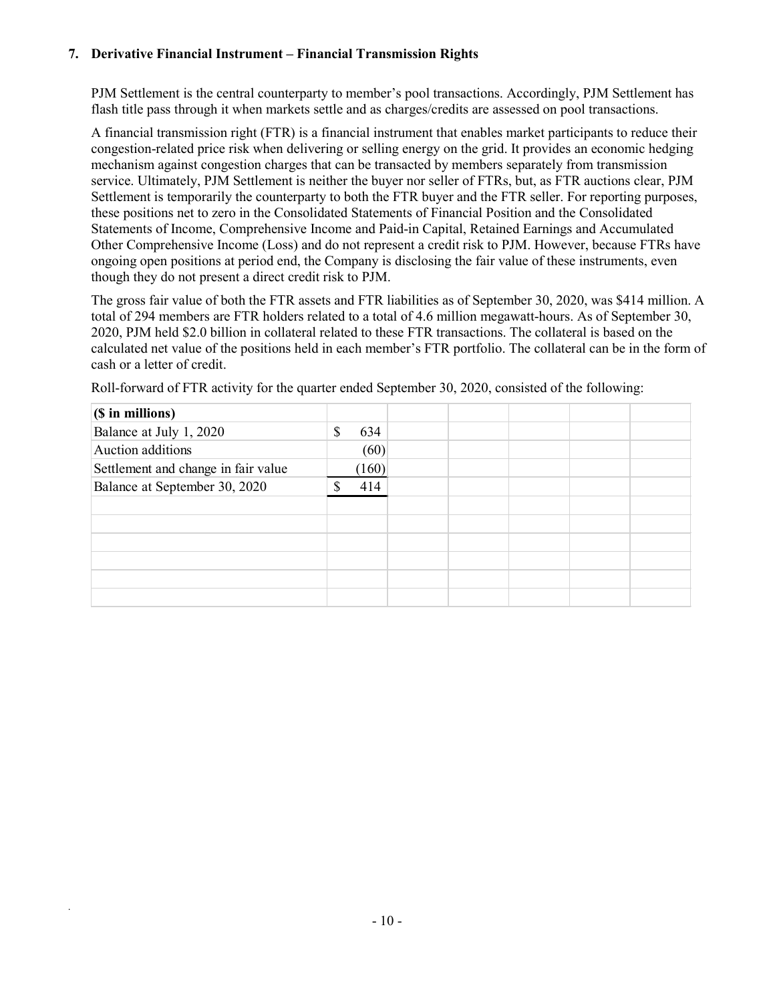### **7. Derivative Financial Instrument – Financial Transmission Rights**

PJM Settlement is the central counterparty to member's pool transactions. Accordingly, PJM Settlement has flash title pass through it when markets settle and as charges/credits are assessed on pool transactions.

A financial transmission right (FTR) is a financial instrument that enables market participants to reduce their congestion-related price risk when delivering or selling energy on the grid. It provides an economic hedging mechanism against congestion charges that can be transacted by members separately from transmission service. Ultimately, PJM Settlement is neither the buyer nor seller of FTRs, but, as FTR auctions clear, PJM Settlement is temporarily the counterparty to both the FTR buyer and the FTR seller. For reporting purposes, these positions net to zero in the Consolidated Statements of Financial Position and the Consolidated Statements of Income, Comprehensive Income and Paid-in Capital, Retained Earnings and Accumulated Other Comprehensive Income (Loss) and do not represent a credit risk to PJM. However, because FTRs have ongoing open positions at period end, the Company is disclosing the fair value of these instruments, even though they do not present a direct credit risk to PJM.

The gross fair value of both the FTR assets and FTR liabilities as of September 30, 2020, was \$414 million. A total of 294 members are FTR holders related to a total of 4.6 million megawatt-hours. As of September 30, 2020, PJM held \$2.0 billion in collateral related to these FTR transactions. The collateral is based on the calculated net value of the positions held in each member's FTR portfolio. The collateral can be in the form of cash or a letter of credit.

| $(S \in \mathbf{in} \text{ millions})$ |               |       |  |  |  |
|----------------------------------------|---------------|-------|--|--|--|
| Balance at July 1, 2020                | <sup>\$</sup> | 634   |  |  |  |
| Auction additions                      |               | (60)  |  |  |  |
| Settlement and change in fair value    |               | (160) |  |  |  |
| Balance at September 30, 2020          | S             | 414   |  |  |  |
|                                        |               |       |  |  |  |
|                                        |               |       |  |  |  |
|                                        |               |       |  |  |  |
|                                        |               |       |  |  |  |
|                                        |               |       |  |  |  |
|                                        |               |       |  |  |  |

Roll-forward of FTR activity for the quarter ended September 30, 2020, consisted of the following: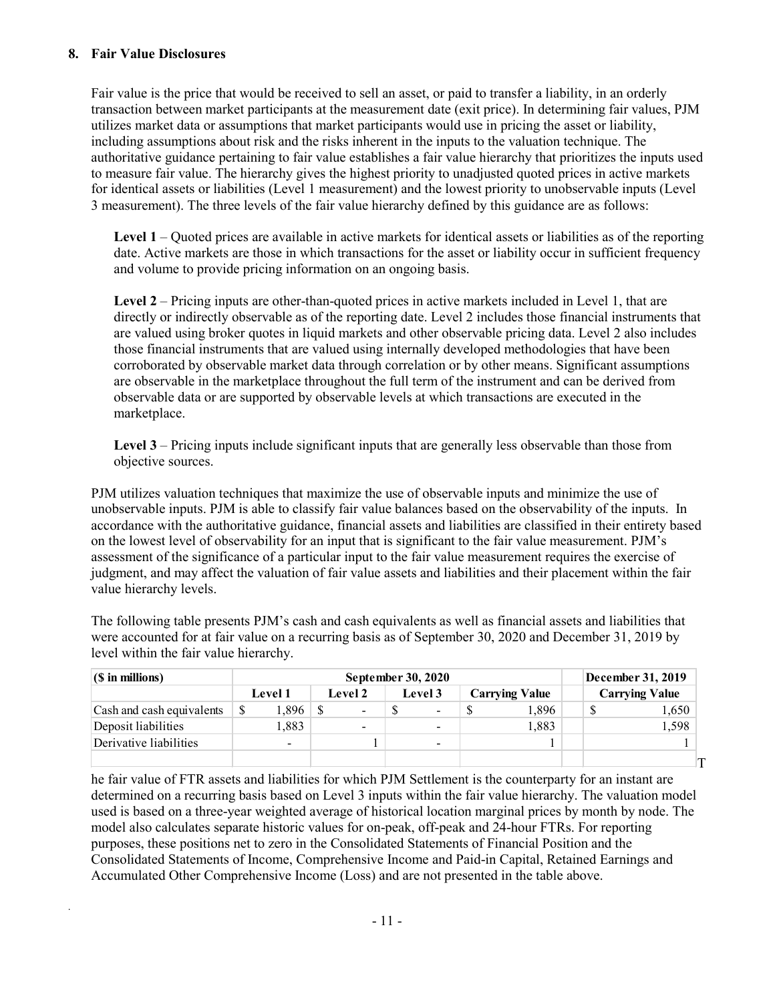#### **8. Fair Value Disclosures**

*.*

Fair value is the price that would be received to sell an asset, or paid to transfer a liability, in an orderly transaction between market participants at the measurement date (exit price). In determining fair values, PJM utilizes market data or assumptions that market participants would use in pricing the asset or liability, including assumptions about risk and the risks inherent in the inputs to the valuation technique. The authoritative guidance pertaining to fair value establishes a fair value hierarchy that prioritizes the inputs used to measure fair value. The hierarchy gives the highest priority to unadjusted quoted prices in active markets for identical assets or liabilities (Level 1 measurement) and the lowest priority to unobservable inputs (Level 3 measurement). The three levels of the fair value hierarchy defined by this guidance are as follows:

**Level 1** – Quoted prices are available in active markets for identical assets or liabilities as of the reporting date. Active markets are those in which transactions for the asset or liability occur in sufficient frequency and volume to provide pricing information on an ongoing basis.

Level 2 – Pricing inputs are other-than-quoted prices in active markets included in Level 1, that are directly or indirectly observable as of the reporting date. Level 2 includes those financial instruments that are valued using broker quotes in liquid markets and other observable pricing data. Level 2 also includes those financial instruments that are valued using internally developed methodologies that have been corroborated by observable market data through correlation or by other means. Significant assumptions are observable in the marketplace throughout the full term of the instrument and can be derived from observable data or are supported by observable levels at which transactions are executed in the marketplace.

**Level 3** – Pricing inputs include significant inputs that are generally less observable than those from objective sources.

PJM utilizes valuation techniques that maximize the use of observable inputs and minimize the use of unobservable inputs. PJM is able to classify fair value balances based on the observability of the inputs. In accordance with the authoritative guidance, financial assets and liabilities are classified in their entirety based on the lowest level of observability for an input that is significant to the fair value measurement. PJM's assessment of the significance of a particular input to the fair value measurement requires the exercise of judgment, and may affect the valuation of fair value assets and liabilities and their placement within the fair value hierarchy levels.

The following table presents PJM's cash and cash equivalents as well as financial assets and liabilities that were accounted for at fair value on a recurring basis as of September 30, 2020 and December 31, 2019 by level within the fair value hierarchy.

| $(S \in \mathbf{min} \)$  |            | December 31, 2019  |                          |                       |                       |
|---------------------------|------------|--------------------|--------------------------|-----------------------|-----------------------|
|                           | Level 1    | Level 2<br>Level 3 |                          | <b>Carrying Value</b> | <b>Carrying Value</b> |
| Cash and cash equivalents | 1,896<br>S | -                  | $\overline{\phantom{a}}$ | 1.896                 | 1,650                 |
| Deposit liabilities       | 1,883      | $\sim$             | $\sim$                   | 1,883                 | 1,598                 |
| Derivative liabilities    |            |                    | $\blacksquare$           |                       |                       |
|                           |            |                    |                          |                       |                       |

he fair value of FTR assets and liabilities for which PJM Settlement is the counterparty for an instant are determined on a recurring basis based on Level 3 inputs within the fair value hierarchy. The valuation model used is based on a three-year weighted average of historical location marginal prices by month by node. The model also calculates separate historic values for on-peak, off-peak and 24-hour FTRs. For reporting purposes, these positions net to zero in the Consolidated Statements of Financial Position and the Consolidated Statements of Income, Comprehensive Income and Paid-in Capital, Retained Earnings and Accumulated Other Comprehensive Income (Loss) and are not presented in the table above.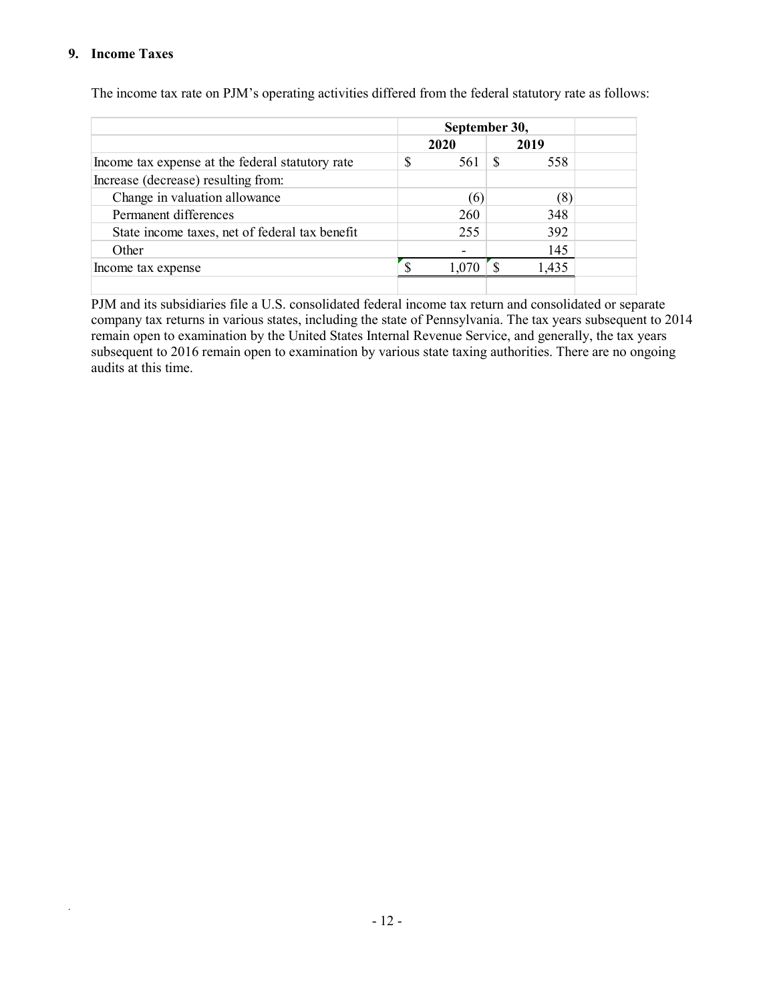#### **9. Income Taxes**

*.*

|                                                  | September 30,<br>2019<br>2020<br>S<br>-S<br>561<br>558 |  |      |  |  |
|--------------------------------------------------|--------------------------------------------------------|--|------|--|--|
|                                                  |                                                        |  |      |  |  |
| Income tax expense at the federal statutory rate |                                                        |  |      |  |  |
| Increase (decrease) resulting from:              |                                                        |  |      |  |  |
| Change in valuation allowance                    | (6)                                                    |  | (8)  |  |  |
| Permanent differences                            | 260                                                    |  | 348  |  |  |
| State income taxes, net of federal tax benefit   | 255                                                    |  | 392  |  |  |
| Other                                            |                                                        |  | 145  |  |  |
| Income tax expense                               |                                                        |  | .435 |  |  |
|                                                  |                                                        |  |      |  |  |

The income tax rate on PJM's operating activities differed from the federal statutory rate as follows:

PJM and its subsidiaries file a U.S. consolidated federal income tax return and consolidated or separate company tax returns in various states, including the state of Pennsylvania. The tax years subsequent to 2014 remain open to examination by the United States Internal Revenue Service, and generally, the tax years subsequent to 2016 remain open to examination by various state taxing authorities. There are no ongoing audits at this time.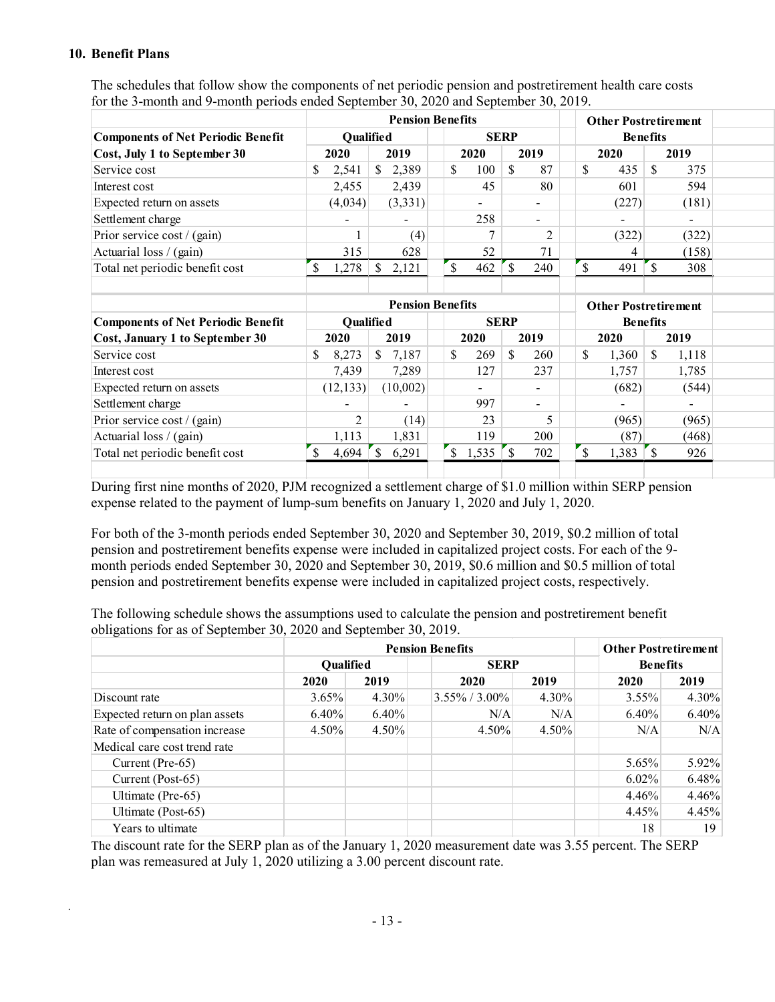#### **10. Benefit Plans**

*.*

|                                           |                          | <b>Pension Benefits</b> |                          |                          | <b>Other Postretirement</b> |                          |  |
|-------------------------------------------|--------------------------|-------------------------|--------------------------|--------------------------|-----------------------------|--------------------------|--|
| <b>Components of Net Periodic Benefit</b> |                          | <b>Oualified</b>        | <b>SERP</b>              |                          | <b>Benefits</b>             |                          |  |
| Cost, July 1 to September 30              | 2020                     | 2019                    | 2019<br>2020             |                          | 2020                        | 2019                     |  |
| Service cost                              | 2,541                    | 2,389<br>S.             | 100<br>\$<br>- \$        | 87                       | 435<br>\$.                  | 375<br>-8                |  |
| Interest cost                             | 2,455                    | 2,439                   | 45                       | 80                       | 601                         | 594                      |  |
| Expected return on assets                 | (4,034)                  | (3,331)                 | $\overline{\phantom{0}}$ |                          | (227)                       | (181)                    |  |
| Settlement charge                         | $\overline{\phantom{a}}$ |                         | 258                      | $\overline{\phantom{a}}$ |                             | $\overline{\phantom{a}}$ |  |
| Prior service cost / (gain)               |                          | (4)                     |                          |                          | (322)                       | (322)                    |  |
| Actuarial loss / (gain)                   | 315                      | 628                     | 52                       | 71                       | 4                           | (158)                    |  |
| Total net periodic benefit cost           | 1,278                    | 2.121                   | 462                      | 240                      | 491                         | 308                      |  |
|                                           |                          |                         |                          |                          |                             |                          |  |

The schedules that follow show the components of net periodic pension and postretirement health care costs for the 3-month and 9-month periods ended September 30, 2020 and September 30, 2019.

|                                           | <b>Pension Benefits</b> |                          |  |              |   |                 |  |      | <b>Other Postretirement</b> |      |                |  |  |
|-------------------------------------------|-------------------------|--------------------------|--|--------------|---|-----------------|--|------|-----------------------------|------|----------------|--|--|
| <b>Components of Net Periodic Benefit</b> | <b>Oualified</b>        | <b>SERP</b>              |  |              |   | <b>Benefits</b> |  |      |                             |      |                |  |  |
| Cost, January 1 to September 30           | 2020                    | 2019                     |  | 2019<br>2020 |   |                 |  | 2020 |                             | 2019 |                |  |  |
| Service cost                              | 8,273<br>S              | 7,187<br>S               |  | 269<br>\$    | S | 260             |  | \$   | 1,360                       |      | 1,118          |  |  |
| Interest cost                             | 7,439                   | 7,289                    |  | 127          |   | 237             |  |      | 1,757                       |      | 1,785          |  |  |
| Expected return on assets                 | (12, 133)               | (10,002)                 |  | -            |   |                 |  |      | (682)                       |      | (544)          |  |  |
| Settlement charge                         |                         | $\overline{\phantom{a}}$ |  | 997          |   |                 |  |      | $\overline{\phantom{0}}$    |      | $\blacksquare$ |  |  |
| Prior service cost / (gain)               |                         | (14)                     |  | 23           |   |                 |  |      | (965)                       |      | (965)          |  |  |
| Actuarial loss / (gain)                   | 1,113                   | 1,831                    |  | 119.         |   | 200             |  |      | (87)                        |      | (468)          |  |  |
| Total net periodic benefit cost           | 4,694                   | 6,291                    |  | 1,535        |   | 702             |  |      | 1,383                       |      | 926            |  |  |
|                                           |                         |                          |  |              |   |                 |  |      |                             |      |                |  |  |

During first nine months of 2020, PJM recognized a settlement charge of \$1.0 million within SERP pension expense related to the payment of lump-sum benefits on January 1, 2020 and July 1, 2020.

For both of the 3-month periods ended September 30, 2020 and September 30, 2019, \$0.2 million of total pension and postretirement benefits expense were included in capitalized project costs. For each of the 9 month periods ended September 30, 2020 and September 30, 2019, \$0.6 million and \$0.5 million of total pension and postretirement benefits expense were included in capitalized project costs, respectively.

The following schedule shows the assumptions used to calculate the pension and postretirement benefit obligations for as of September 30, 2020 and September 30, 2019.

|                                |                  | <b>Other Postretirement</b> |                  |          |                 |                 |  |  |
|--------------------------------|------------------|-----------------------------|------------------|----------|-----------------|-----------------|--|--|
|                                | <b>Oualified</b> |                             | <b>SERP</b>      |          | <b>Benefits</b> |                 |  |  |
|                                | 2020             | 2019                        | 2020             | 2019     | 2020            | 2019            |  |  |
| Discount rate                  | $3.65\%$         | $4.30\%$                    | $3.55\%$ / 3.00% | $4.30\%$ | $3.55\%$        | $4.30\%$        |  |  |
| Expected return on plan assets | $6.40\%$         | $6.40\%$                    | N/A              | N/A      | $6.40\%$        | 6.40%           |  |  |
| Rate of compensation increase  | $4.50\%$         | $4.50\%$                    | $4.50\%$         | $4.50\%$ | N/A             | N/A             |  |  |
| Medical care cost trend rate   |                  |                             |                  |          |                 |                 |  |  |
| Current (Pre-65)               |                  |                             |                  |          | 5.65%           | 5.92%           |  |  |
| Current (Post-65)              |                  |                             |                  |          | $6.02\%$        | 6.48%           |  |  |
| Ultimate (Pre-65)              |                  |                             |                  |          | $4.46\%$        | 4.46%           |  |  |
| Ultimate (Post-65)             |                  |                             |                  |          | 4.45%           | 4.45%           |  |  |
| Years to ultimate              |                  |                             |                  |          | 18              | 19 <sup>°</sup> |  |  |

The discount rate for the SERP plan as of the January 1, 2020 measurement date was 3.55 percent. The SERP plan was remeasured at July 1, 2020 utilizing a 3.00 percent discount rate.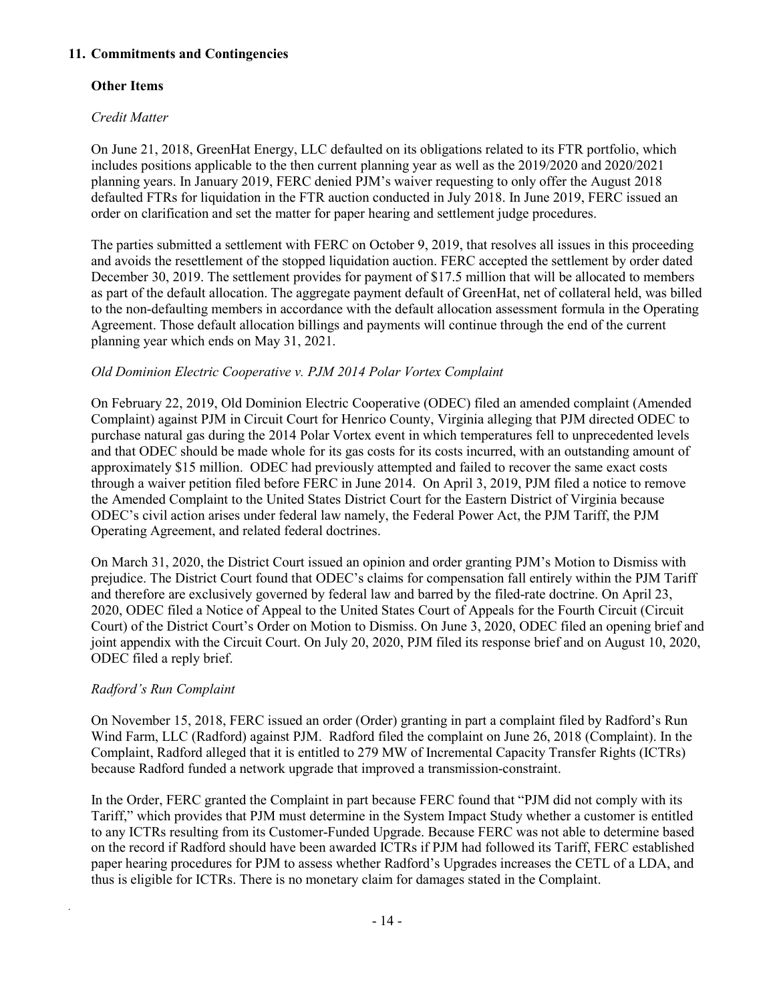### **11. Commitments and Contingencies**

### **Other Items**

### *Credit Matter*

On June 21, 2018, GreenHat Energy, LLC defaulted on its obligations related to its FTR portfolio, which includes positions applicable to the then current planning year as well as the 2019/2020 and 2020/2021 planning years. In January 2019, FERC denied PJM's waiver requesting to only offer the August 2018 defaulted FTRs for liquidation in the FTR auction conducted in July 2018. In June 2019, FERC issued an order on clarification and set the matter for paper hearing and settlement judge procedures.

The parties submitted a settlement with FERC on October 9, 2019, that resolves all issues in this proceeding and avoids the resettlement of the stopped liquidation auction. FERC accepted the settlement by order dated December 30, 2019. The settlement provides for payment of \$17.5 million that will be allocated to members as part of the default allocation. The aggregate payment default of GreenHat, net of collateral held, was billed to the non-defaulting members in accordance with the default allocation assessment formula in the Operating Agreement. Those default allocation billings and payments will continue through the end of the current planning year which ends on May 31, 2021.

### *Old Dominion Electric Cooperative v. PJM 2014 Polar Vortex Complaint*

On February 22, 2019, Old Dominion Electric Cooperative (ODEC) filed an amended complaint (Amended Complaint) against PJM in Circuit Court for Henrico County, Virginia alleging that PJM directed ODEC to purchase natural gas during the 2014 Polar Vortex event in which temperatures fell to unprecedented levels and that ODEC should be made whole for its gas costs for its costs incurred, with an outstanding amount of approximately \$15 million. ODEC had previously attempted and failed to recover the same exact costs through a waiver petition filed before FERC in June 2014. On April 3, 2019, PJM filed a notice to remove the Amended Complaint to the United States District Court for the Eastern District of Virginia because ODEC's civil action arises under federal law namely, the Federal Power Act, the PJM Tariff, the PJM Operating Agreement, and related federal doctrines.

On March 31, 2020, the District Court issued an opinion and order granting PJM's Motion to Dismiss with prejudice. The District Court found that ODEC's claims for compensation fall entirely within the PJM Tariff and therefore are exclusively governed by federal law and barred by the filed-rate doctrine. On April 23, 2020, ODEC filed a Notice of Appeal to the United States Court of Appeals for the Fourth Circuit (Circuit Court) of the District Court's Order on Motion to Dismiss. On June 3, 2020, ODEC filed an opening brief and joint appendix with the Circuit Court. On July 20, 2020, PJM filed its response brief and on August 10, 2020, ODEC filed a reply brief.

### *Radford's Run Complaint*

*.*

On November 15, 2018, FERC issued an order (Order) granting in part a complaint filed by Radford's Run Wind Farm, LLC (Radford) against PJM. Radford filed the complaint on June 26, 2018 (Complaint). In the Complaint, Radford alleged that it is entitled to 279 MW of Incremental Capacity Transfer Rights (ICTRs) because Radford funded a network upgrade that improved a transmission-constraint.

In the Order, FERC granted the Complaint in part because FERC found that "PJM did not comply with its Tariff," which provides that PJM must determine in the System Impact Study whether a customer is entitled to any ICTRs resulting from its Customer-Funded Upgrade. Because FERC was not able to determine based on the record if Radford should have been awarded ICTRs if PJM had followed its Tariff, FERC established paper hearing procedures for PJM to assess whether Radford's Upgrades increases the CETL of a LDA, and thus is eligible for ICTRs. There is no monetary claim for damages stated in the Complaint.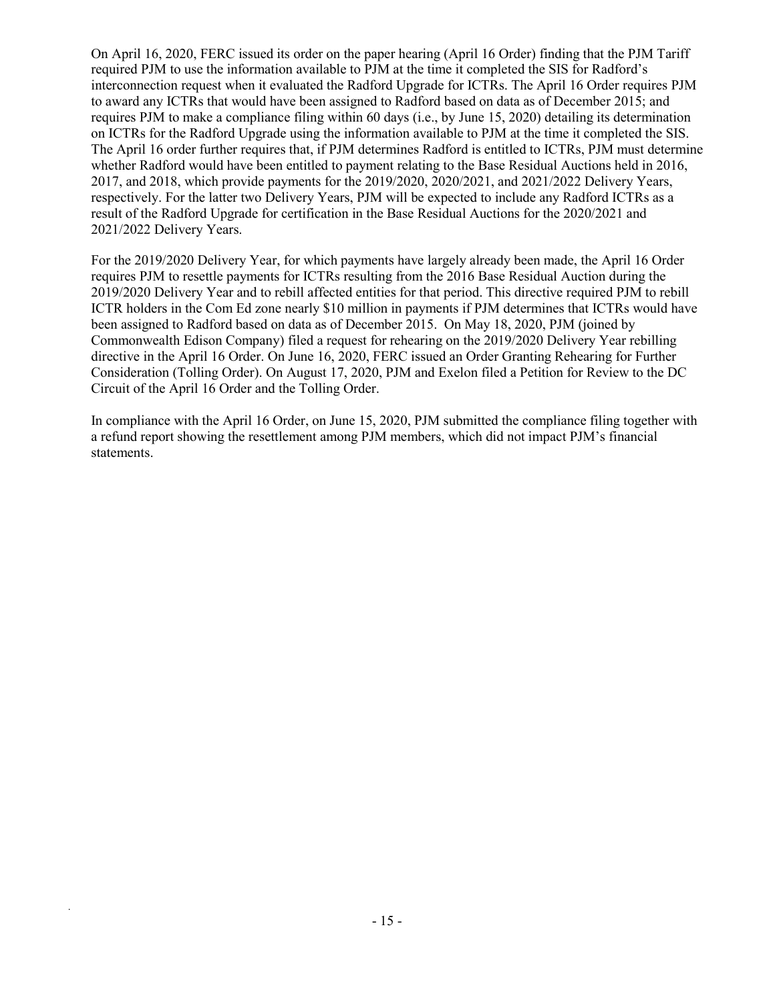On April 16, 2020, FERC issued its order on the paper hearing (April 16 Order) finding that the PJM Tariff required PJM to use the information available to PJM at the time it completed the SIS for Radford's interconnection request when it evaluated the Radford Upgrade for ICTRs. The April 16 Order requires PJM to award any ICTRs that would have been assigned to Radford based on data as of December 2015; and requires PJM to make a compliance filing within 60 days (i.e., by June 15, 2020) detailing its determination on ICTRs for the Radford Upgrade using the information available to PJM at the time it completed the SIS. The April 16 order further requires that, if PJM determines Radford is entitled to ICTRs, PJM must determine whether Radford would have been entitled to payment relating to the Base Residual Auctions held in 2016, 2017, and 2018, which provide payments for the 2019/2020, 2020/2021, and 2021/2022 Delivery Years, respectively. For the latter two Delivery Years, PJM will be expected to include any Radford ICTRs as a result of the Radford Upgrade for certification in the Base Residual Auctions for the 2020/2021 and 2021/2022 Delivery Years.

For the 2019/2020 Delivery Year, for which payments have largely already been made, the April 16 Order requires PJM to resettle payments for ICTRs resulting from the 2016 Base Residual Auction during the 2019/2020 Delivery Year and to rebill affected entities for that period. This directive required PJM to rebill ICTR holders in the Com Ed zone nearly \$10 million in payments if PJM determines that ICTRs would have been assigned to Radford based on data as of December 2015. On May 18, 2020, PJM (joined by Commonwealth Edison Company) filed a request for rehearing on the 2019/2020 Delivery Year rebilling directive in the April 16 Order. On June 16, 2020, FERC issued an Order Granting Rehearing for Further Consideration (Tolling Order). On August 17, 2020, PJM and Exelon filed a Petition for Review to the DC Circuit of the April 16 Order and the Tolling Order.

In compliance with the April 16 Order, on June 15, 2020, PJM submitted the compliance filing together with a refund report showing the resettlement among PJM members, which did not impact PJM's financial statements.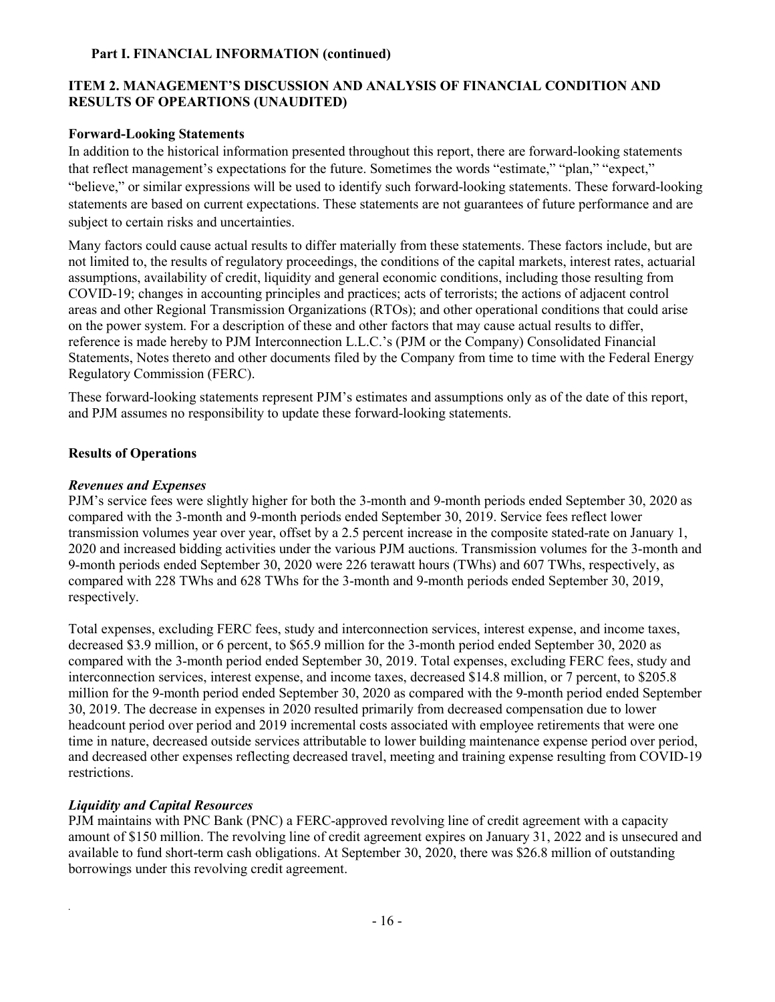#### **Part I. FINANCIAL INFORMATION (continued)**

### **ITEM 2. MANAGEMENT'S DISCUSSION AND ANALYSIS OF FINANCIAL CONDITION AND RESULTS OF OPEARTIONS (UNAUDITED)**

#### **Forward-Looking Statements**

In addition to the historical information presented throughout this report, there are forward-looking statements that reflect management's expectations for the future. Sometimes the words "estimate," "plan," "expect," "believe," or similar expressions will be used to identify such forward-looking statements. These forward-looking statements are based on current expectations. These statements are not guarantees of future performance and are subject to certain risks and uncertainties.

Many factors could cause actual results to differ materially from these statements. These factors include, but are not limited to, the results of regulatory proceedings, the conditions of the capital markets, interest rates, actuarial assumptions, availability of credit, liquidity and general economic conditions, including those resulting from COVID-19; changes in accounting principles and practices; acts of terrorists; the actions of adjacent control areas and other Regional Transmission Organizations (RTOs); and other operational conditions that could arise on the power system. For a description of these and other factors that may cause actual results to differ, reference is made hereby to PJM Interconnection L.L.C.'s (PJM or the Company) Consolidated Financial Statements, Notes thereto and other documents filed by the Company from time to time with the Federal Energy Regulatory Commission (FERC).

These forward-looking statements represent PJM's estimates and assumptions only as of the date of this report, and PJM assumes no responsibility to update these forward-looking statements.

#### **Results of Operations**

#### *Revenues and Expenses*

PJM's service fees were slightly higher for both the 3-month and 9-month periods ended September 30, 2020 as compared with the 3-month and 9-month periods ended September 30, 2019. Service fees reflect lower transmission volumes year over year, offset by a 2.5 percent increase in the composite stated-rate on January 1, 2020 and increased bidding activities under the various PJM auctions. Transmission volumes for the 3-month and 9-month periods ended September 30, 2020 were 226 terawatt hours (TWhs) and 607 TWhs, respectively, as compared with 228 TWhs and 628 TWhs for the 3-month and 9-month periods ended September 30, 2019, respectively.

Total expenses, excluding FERC fees, study and interconnection services, interest expense, and income taxes, decreased \$3.9 million, or 6 percent, to \$65.9 million for the 3-month period ended September 30, 2020 as compared with the 3-month period ended September 30, 2019. Total expenses, excluding FERC fees, study and interconnection services, interest expense, and income taxes, decreased \$14.8 million, or 7 percent, to \$205.8 million for the 9-month period ended September 30, 2020 as compared with the 9-month period ended September 30, 2019. The decrease in expenses in 2020 resulted primarily from decreased compensation due to lower headcount period over period and 2019 incremental costs associated with employee retirements that were one time in nature, decreased outside services attributable to lower building maintenance expense period over period, and decreased other expenses reflecting decreased travel, meeting and training expense resulting from COVID-19 restrictions.

#### *Liquidity and Capital Resources*

*.*

PJM maintains with PNC Bank (PNC) a FERC-approved revolving line of credit agreement with a capacity amount of \$150 million. The revolving line of credit agreement expires on January 31, 2022 and is unsecured and available to fund short-term cash obligations. At September 30, 2020, there was \$26.8 million of outstanding borrowings under this revolving credit agreement.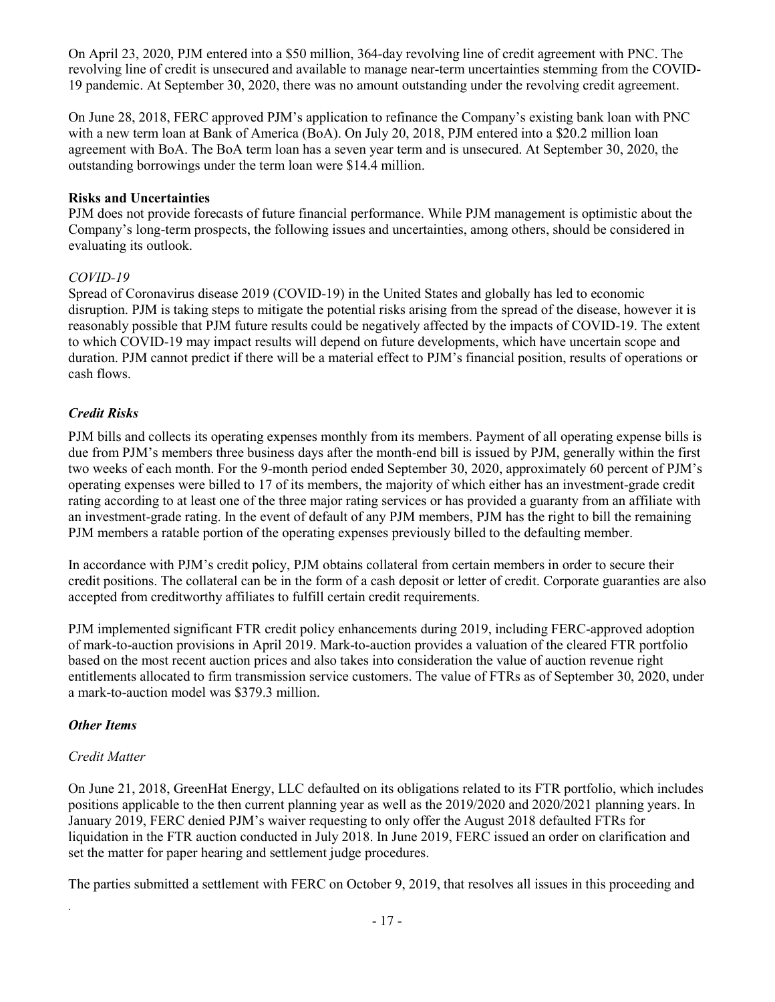On April 23, 2020, PJM entered into a \$50 million, 364-day revolving line of credit agreement with PNC. The revolving line of credit is unsecured and available to manage near-term uncertainties stemming from the COVID-19 pandemic. At September 30, 2020, there was no amount outstanding under the revolving credit agreement.

On June 28, 2018, FERC approved PJM's application to refinance the Company's existing bank loan with PNC with a new term loan at Bank of America (BoA). On July 20, 2018, PJM entered into a \$20.2 million loan agreement with BoA. The BoA term loan has a seven year term and is unsecured. At September 30, 2020, the outstanding borrowings under the term loan were \$14.4 million.

### **Risks and Uncertainties**

PJM does not provide forecasts of future financial performance. While PJM management is optimistic about the Company's long-term prospects, the following issues and uncertainties, among others, should be considered in evaluating its outlook.

### *COVID-19*

Spread of Coronavirus disease 2019 (COVID-19) in the United States and globally has led to economic disruption. PJM is taking steps to mitigate the potential risks arising from the spread of the disease, however it is reasonably possible that PJM future results could be negatively affected by the impacts of COVID-19. The extent to which COVID-19 may impact results will depend on future developments, which have uncertain scope and duration. PJM cannot predict if there will be a material effect to PJM's financial position, results of operations or cash flows.

### *Credit Risks*

PJM bills and collects its operating expenses monthly from its members. Payment of all operating expense bills is due from PJM's members three business days after the month-end bill is issued by PJM, generally within the first two weeks of each month. For the 9-month period ended September 30, 2020, approximately 60 percent of PJM's operating expenses were billed to 17 of its members, the majority of which either has an investment-grade credit rating according to at least one of the three major rating services or has provided a guaranty from an affiliate with an investment-grade rating. In the event of default of any PJM members, PJM has the right to bill the remaining PJM members a ratable portion of the operating expenses previously billed to the defaulting member.

In accordance with PJM's credit policy, PJM obtains collateral from certain members in order to secure their credit positions. The collateral can be in the form of a cash deposit or letter of credit. Corporate guaranties are also accepted from creditworthy affiliates to fulfill certain credit requirements.

PJM implemented significant FTR credit policy enhancements during 2019, including FERC-approved adoption of mark-to-auction provisions in April 2019. Mark-to-auction provides a valuation of the cleared FTR portfolio based on the most recent auction prices and also takes into consideration the value of auction revenue right entitlements allocated to firm transmission service customers. The value of FTRs as of September 30, 2020, under a mark-to-auction model was \$379.3 million.

#### *Other Items*

### *Credit Matter*

*.*

On June 21, 2018, GreenHat Energy, LLC defaulted on its obligations related to its FTR portfolio, which includes positions applicable to the then current planning year as well as the 2019/2020 and 2020/2021 planning years. In January 2019, FERC denied PJM's waiver requesting to only offer the August 2018 defaulted FTRs for liquidation in the FTR auction conducted in July 2018. In June 2019, FERC issued an order on clarification and set the matter for paper hearing and settlement judge procedures.

The parties submitted a settlement with FERC on October 9, 2019, that resolves all issues in this proceeding and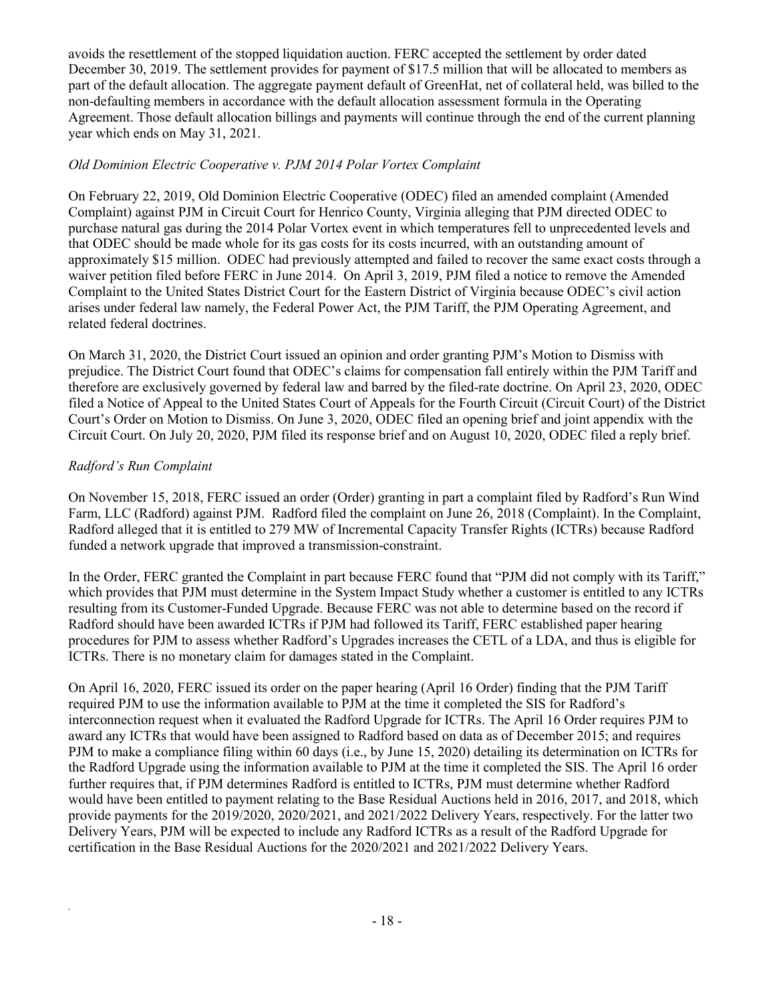avoids the resettlement of the stopped liquidation auction. FERC accepted the settlement by order dated December 30, 2019. The settlement provides for payment of \$17.5 million that will be allocated to members as part of the default allocation. The aggregate payment default of GreenHat, net of collateral held, was billed to the non-defaulting members in accordance with the default allocation assessment formula in the Operating Agreement. Those default allocation billings and payments will continue through the end of the current planning year which ends on May 31, 2021.

### *Old Dominion Electric Cooperative v. PJM 2014 Polar Vortex Complaint*

On February 22, 2019, Old Dominion Electric Cooperative (ODEC) filed an amended complaint (Amended Complaint) against PJM in Circuit Court for Henrico County, Virginia alleging that PJM directed ODEC to purchase natural gas during the 2014 Polar Vortex event in which temperatures fell to unprecedented levels and that ODEC should be made whole for its gas costs for its costs incurred, with an outstanding amount of approximately \$15 million. ODEC had previously attempted and failed to recover the same exact costs through a waiver petition filed before FERC in June 2014. On April 3, 2019, PJM filed a notice to remove the Amended Complaint to the United States District Court for the Eastern District of Virginia because ODEC's civil action arises under federal law namely, the Federal Power Act, the PJM Tariff, the PJM Operating Agreement, and related federal doctrines.

On March 31, 2020, the District Court issued an opinion and order granting PJM's Motion to Dismiss with prejudice. The District Court found that ODEC's claims for compensation fall entirely within the PJM Tariff and therefore are exclusively governed by federal law and barred by the filed-rate doctrine. On April 23, 2020, ODEC filed a Notice of Appeal to the United States Court of Appeals for the Fourth Circuit (Circuit Court) of the District Court's Order on Motion to Dismiss. On June 3, 2020, ODEC filed an opening brief and joint appendix with the Circuit Court. On July 20, 2020, PJM filed its response brief and on August 10, 2020, ODEC filed a reply brief.

### *Radford's Run Complaint*

*.*

On November 15, 2018, FERC issued an order (Order) granting in part a complaint filed by Radford's Run Wind Farm, LLC (Radford) against PJM. Radford filed the complaint on June 26, 2018 (Complaint). In the Complaint, Radford alleged that it is entitled to 279 MW of Incremental Capacity Transfer Rights (ICTRs) because Radford funded a network upgrade that improved a transmission-constraint.

In the Order, FERC granted the Complaint in part because FERC found that "PJM did not comply with its Tariff," which provides that PJM must determine in the System Impact Study whether a customer is entitled to any ICTRs resulting from its Customer-Funded Upgrade. Because FERC was not able to determine based on the record if Radford should have been awarded ICTRs if PJM had followed its Tariff, FERC established paper hearing procedures for PJM to assess whether Radford's Upgrades increases the CETL of a LDA, and thus is eligible for ICTRs. There is no monetary claim for damages stated in the Complaint.

On April 16, 2020, FERC issued its order on the paper hearing (April 16 Order) finding that the PJM Tariff required PJM to use the information available to PJM at the time it completed the SIS for Radford's interconnection request when it evaluated the Radford Upgrade for ICTRs. The April 16 Order requires PJM to award any ICTRs that would have been assigned to Radford based on data as of December 2015; and requires PJM to make a compliance filing within 60 days (i.e., by June 15, 2020) detailing its determination on ICTRs for the Radford Upgrade using the information available to PJM at the time it completed the SIS. The April 16 order further requires that, if PJM determines Radford is entitled to ICTRs, PJM must determine whether Radford would have been entitled to payment relating to the Base Residual Auctions held in 2016, 2017, and 2018, which provide payments for the 2019/2020, 2020/2021, and 2021/2022 Delivery Years, respectively. For the latter two Delivery Years, PJM will be expected to include any Radford ICTRs as a result of the Radford Upgrade for certification in the Base Residual Auctions for the 2020/2021 and 2021/2022 Delivery Years.